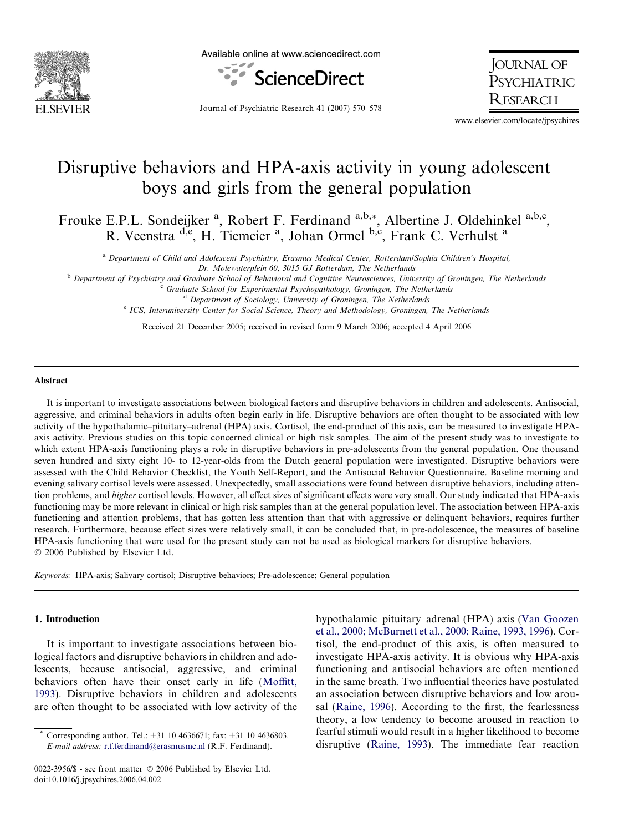

Available online at www.sciencedirect.com



JOURNAL OF **PSYCHIATRIC** RESEARCH

Journal of Psychiatric Research 41 (2007) 570–578

www.elsevier.com/locate/jpsychires

# Disruptive behaviors and HPA-axis activity in young adolescent boys and girls from the general population

Frouke E.P.L. Sondeijker<sup>a</sup>, Robert F. Ferdinand<sup>a,b,\*</sup>, Albertine J. Oldehinkel<sup>a,b,c</sup>, R. Veenstra <sup>d,e</sup>, H. Tiemeier <sup>a</sup>, Johan Ormel <sup>b,c</sup>, Frank C. Verhulst <sup>a</sup>

<sup>a</sup> Department of Child and Adolescent Psychiatry, Erasmus Medical Center, Rotterdam/Sophia Children's Hospital,

Dr. Molewaterplein 60, 3015 GJ Rotterdam, The Netherlands

<sup>b</sup> Department of Psychiatry and Graduate School of Behavioral and Cognitive Neurosciences, University of Groningen, The Netherlands

 $c^2$  Graduate School for Experimental Psychopathology, Groningen, The Netherlands

 $d$  Department of Sociology, University of Groningen, The Netherlands

<sup>e</sup> ICS, Interuniversity Center for Social Science, Theory and Methodology, Groningen, The Netherlands

Received 21 December 2005; received in revised form 9 March 2006; accepted 4 April 2006

#### Abstract

It is important to investigate associations between biological factors and disruptive behaviors in children and adolescents. Antisocial, aggressive, and criminal behaviors in adults often begin early in life. Disruptive behaviors are often thought to be associated with low activity of the hypothalamic–pituitary–adrenal (HPA) axis. Cortisol, the end-product of this axis, can be measured to investigate HPAaxis activity. Previous studies on this topic concerned clinical or high risk samples. The aim of the present study was to investigate to which extent HPA-axis functioning plays a role in disruptive behaviors in pre-adolescents from the general population. One thousand seven hundred and sixty eight 10- to 12-year-olds from the Dutch general population were investigated. Disruptive behaviors were assessed with the Child Behavior Checklist, the Youth Self-Report, and the Antisocial Behavior Questionnaire. Baseline morning and evening salivary cortisol levels were assessed. Unexpectedly, small associations were found between disruptive behaviors, including attention problems, and *higher* cortisol levels. However, all effect sizes of significant effects were very small. Our study indicated that HPA-axis functioning may be more relevant in clinical or high risk samples than at the general population level. The association between HPA-axis functioning and attention problems, that has gotten less attention than that with aggressive or delinquent behaviors, requires further research. Furthermore, because effect sizes were relatively small, it can be concluded that, in pre-adolescence, the measures of baseline HPA-axis functioning that were used for the present study can not be used as biological markers for disruptive behaviors. © 2006 Published by Elsevier Ltd.

Keywords: HPA-axis; Salivary cortisol; Disruptive behaviors; Pre-adolescence; General population

# 1. Introduction

It is important to investigate associations between biological factors and disruptive behaviors in children and adolescents, because antisocial, aggressive, and criminal behaviors often have their onset early in life ([Moffitt,](#page-7-0) [1993\)](#page-7-0). Disruptive behaviors in children and adolescents are often thought to be associated with low activity of the

hypothalamic–pituitary–adrenal (HPA) axis [\(Van Goozen](#page-8-0) [et al., 2000; McBurnett et al., 2000; Raine, 1993, 1996\)](#page-8-0). Cortisol, the end-product of this axis, is often measured to investigate HPA-axis activity. It is obvious why HPA-axis functioning and antisocial behaviors are often mentioned in the same breath. Two influential theories have postulated an association between disruptive behaviors and low arousal ([Raine, 1996](#page-8-0)). According to the first, the fearlessness theory, a low tendency to become aroused in reaction to fearful stimuli would result in a higher likelihood to become disruptive ([Raine, 1993](#page-8-0)). The immediate fear reaction

Corresponding author. Tel.:  $+31$  10 4636671; fax:  $+31$  10 4636803. E-mail address: [r.f.ferdinand@erasmusmc.nl](mailto:r.f.ferdinand@erasmusmc.nl) (R.F. Ferdinand).

<sup>0022-3956/\$ -</sup> see front matter © 2006 Published by Elsevier Ltd. doi:10.1016/j.jpsychires.2006.04.002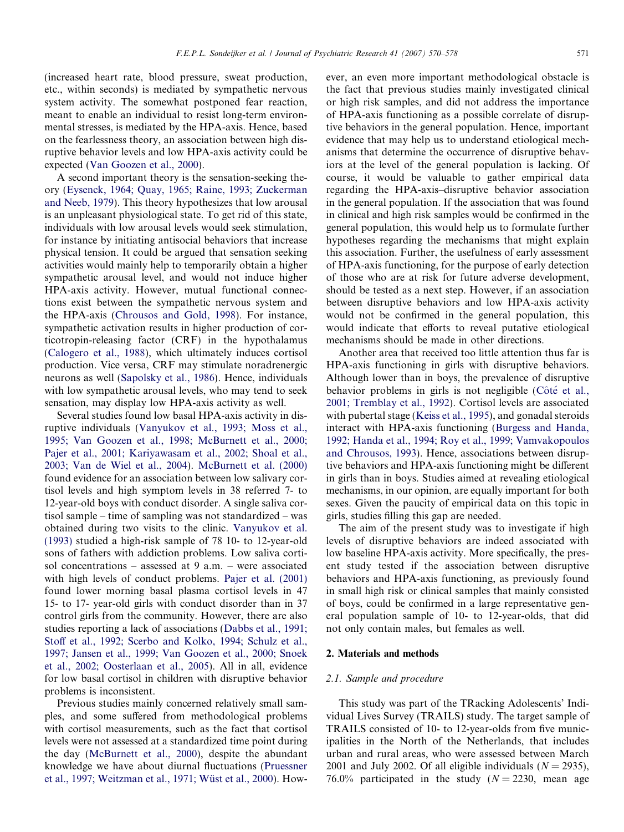(increased heart rate, blood pressure, sweat production, etc., within seconds) is mediated by sympathetic nervous system activity. The somewhat postponed fear reaction, meant to enable an individual to resist long-term environmental stresses, is mediated by the HPA-axis. Hence, based on the fearlessness theory, an association between high disruptive behavior levels and low HPA-axis activity could be expected ([Van Goozen et al., 2000\)](#page-8-0).

A second important theory is the sensation-seeking theory ([Eysenck, 1964; Quay, 1965; Raine, 1993; Zuckerman](#page-7-0) [and Neeb, 1979\)](#page-7-0). This theory hypothesizes that low arousal is an unpleasant physiological state. To get rid of this state, individuals with low arousal levels would seek stimulation, for instance by initiating antisocial behaviors that increase physical tension. It could be argued that sensation seeking activities would mainly help to temporarily obtain a higher sympathetic arousal level, and would not induce higher HPA-axis activity. However, mutual functional connections exist between the sympathetic nervous system and the HPA-axis ([Chrousos and Gold, 1998](#page-7-0)). For instance, sympathetic activation results in higher production of corticotropin-releasing factor (CRF) in the hypothalamus ([Calogero et al., 1988\)](#page-7-0), which ultimately induces cortisol production. Vice versa, CRF may stimulate noradrenergic neurons as well ([Sapolsky et al., 1986\)](#page-8-0). Hence, individuals with low sympathetic arousal levels, who may tend to seek sensation, may display low HPA-axis activity as well.

Several studies found low basal HPA-axis activity in disruptive individuals ([Vanyukov et al., 1993; Moss et al.,](#page-8-0) [1995; Van Goozen et al., 1998; McBurnett et al., 2000;](#page-8-0) [Pajer et al., 2001; Kariyawasam et al., 2002; Shoal et al.,](#page-8-0) [2003; Van de Wiel et al., 2004\)](#page-8-0). [McBurnett et al. \(2000\)](#page-7-0) found evidence for an association between low salivary cortisol levels and high symptom levels in 38 referred 7- to 12-year-old boys with conduct disorder. A single saliva cortisol sample – time of sampling was not standardized – was obtained during two visits to the clinic. [Vanyukov et al.](#page-8-0) [\(1993\)](#page-8-0) studied a high-risk sample of 78 10- to 12-year-old sons of fathers with addiction problems. Low saliva cortisol concentrations – assessed at 9 a.m. – were associated with high levels of conduct problems. [Pajer et al. \(2001\)](#page-7-0) found lower morning basal plasma cortisol levels in 47 15- to 17- year-old girls with conduct disorder than in 37 control girls from the community. However, there are also studies reporting a lack of associations ([Dabbs et al., 1991;](#page-7-0) [Stoff et al., 1992; Scerbo and Kolko, 1994; Schulz et al.,](#page-7-0) [1997; Jansen et al., 1999; Van Goozen et al., 2000; Snoek](#page-7-0) [et al., 2002; Oosterlaan et al., 2005\)](#page-7-0). All in all, evidence for low basal cortisol in children with disruptive behavior problems is inconsistent.

Previous studies mainly concerned relatively small samples, and some suffered from methodological problems with cortisol measurements, such as the fact that cortisol levels were not assessed at a standardized time point during the day ([McBurnett et al., 2000](#page-7-0)), despite the abundant knowledge we have about diurnal fluctuations [\(Pruessner](#page-8-0) et al., 1997; Weitzman et al., 1971; Wüst et al., 2000). However, an even more important methodological obstacle is the fact that previous studies mainly investigated clinical or high risk samples, and did not address the importance of HPA-axis functioning as a possible correlate of disruptive behaviors in the general population. Hence, important evidence that may help us to understand etiological mechanisms that determine the occurrence of disruptive behaviors at the level of the general population is lacking. Of course, it would be valuable to gather empirical data regarding the HPA-axis–disruptive behavior association in the general population. If the association that was found in clinical and high risk samples would be confirmed in the general population, this would help us to formulate further hypotheses regarding the mechanisms that might explain this association. Further, the usefulness of early assessment of HPA-axis functioning, for the purpose of early detection of those who are at risk for future adverse development, should be tested as a next step. However, if an association between disruptive behaviors and low HPA-axis activity would not be confirmed in the general population, this would indicate that efforts to reveal putative etiological mechanisms should be made in other directions.

Another area that received too little attention thus far is HPA-axis functioning in girls with disruptive behaviors. Although lower than in boys, the prevalence of disruptive behavior problems in girls is not negligible (Côté [et al.,](#page-7-0) [2001; Tremblay et al., 1992](#page-7-0)). Cortisol levels are associated with pubertal stage [\(Keiss et al., 1995](#page-7-0)), and gonadal steroids interact with HPA-axis functioning [\(Burgess and Handa,](#page-7-0) [1992; Handa et al., 1994; Roy et al., 1999; Vamvakopoulos](#page-7-0) [and Chrousos, 1993\)](#page-7-0). Hence, associations between disruptive behaviors and HPA-axis functioning might be different in girls than in boys. Studies aimed at revealing etiological mechanisms, in our opinion, are equally important for both sexes. Given the paucity of empirical data on this topic in girls, studies filling this gap are needed.

The aim of the present study was to investigate if high levels of disruptive behaviors are indeed associated with low baseline HPA-axis activity. More specifically, the present study tested if the association between disruptive behaviors and HPA-axis functioning, as previously found in small high risk or clinical samples that mainly consisted of boys, could be confirmed in a large representative general population sample of 10- to 12-year-olds, that did not only contain males, but females as well.

## 2. Materials and methods

#### 2.1. Sample and procedure

This study was part of the TRacking Adolescents' Individual Lives Survey (TRAILS) study. The target sample of TRAILS consisted of 10- to 12-year-olds from five municipalities in the North of the Netherlands, that includes urban and rural areas, who were assessed between March 2001 and July 2002. Of all eligible individuals ( $N = 2935$ ), 76.0% participated in the study ( $N = 2230$ , mean age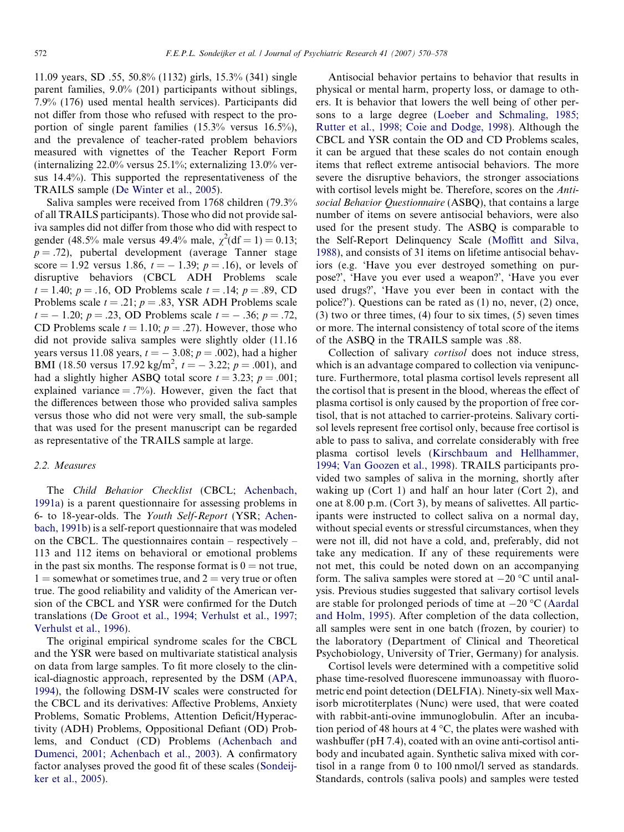11.09 years, SD .55, 50.8% (1132) girls, 15.3% (341) single parent families, 9.0% (201) participants without siblings, 7.9% (176) used mental health services). Participants did not differ from those who refused with respect to the proportion of single parent families (15.3% versus 16.5%), and the prevalence of teacher-rated problem behaviors measured with vignettes of the Teacher Report Form (internalizing 22.0% versus 25.1%; externalizing 13.0% versus 14.4%). This supported the representativeness of the TRAILS sample [\(De Winter et al., 2005\)](#page-7-0).

Saliva samples were received from 1768 children (79.3% of all TRAILS participants). Those who did not provide saliva samples did not differ from those who did with respect to gender (48.5% male versus 49.4% male,  $\chi^2(df = 1) = 0.13$ ;  $p = .72$ ), pubertal development (average Tanner stage score = 1.92 versus 1.86,  $t = -1.39$ ;  $p = .16$ ), or levels of disruptive behaviors (CBCL ADH Problems scale  $t = 1.40$ ;  $p = .16$ , OD Problems scale  $t = .14$ ;  $p = .89$ , CD Problems scale  $t = .21$ ;  $p = .83$ , YSR ADH Problems scale  $t = -1.20$ ;  $p = .23$ , OD Problems scale  $t = -0.36$ ;  $p = .72$ , CD Problems scale  $t = 1.10$ ;  $p = .27$ ). However, those who did not provide saliva samples were slightly older (11.16 years versus 11.08 years,  $t = -3.08; p = .002$ ), had a higher BMI (18.50 versus 17.92 kg/m<sup>2</sup>,  $t = -3.22$ ;  $p = .001$ ), and had a slightly higher ASBQ total score  $t = 3.23$ ;  $p = .001$ ; explained variance  $= .7\%$ ). However, given the fact that the differences between those who provided saliva samples versus those who did not were very small, the sub-sample that was used for the present manuscript can be regarded as representative of the TRAILS sample at large.

## 2.2. Measures

The Child Behavior Checklist (CBCL; [Achenbach,](#page-7-0) [1991a\)](#page-7-0) is a parent questionnaire for assessing problems in 6- to 18-year-olds. The Youth Self-Report (YSR; [Achen](#page-7-0)[bach, 1991b](#page-7-0)) is a self-report questionnaire that was modeled on the CBCL. The questionnaires contain – respectively – 113 and 112 items on behavioral or emotional problems in the past six months. The response format is  $0 =$  not true,  $1 =$  somewhat or sometimes true, and  $2 =$  very true or often true. The good reliability and validity of the American version of the CBCL and YSR were confirmed for the Dutch translations [\(De Groot et al., 1994; Verhulst et al., 1997;](#page-7-0) [Verhulst et al., 1996\)](#page-7-0).

The original empirical syndrome scales for the CBCL and the YSR were based on multivariate statistical analysis on data from large samples. To fit more closely to the clinical-diagnostic approach, represented by the DSM ([APA,](#page-7-0) [1994\)](#page-7-0), the following DSM-IV scales were constructed for the CBCL and its derivatives: Affective Problems, Anxiety Problems, Somatic Problems, Attention Deficit/Hyperactivity (ADH) Problems, Oppositional Defiant (OD) Problems, and Conduct (CD) Problems [\(Achenbach and](#page-7-0) [Dumenci, 2001; Achenbach et al., 2003](#page-7-0)). A confirmatory factor analyses proved the good fit of these scales ([Sondeij](#page-8-0)[ker et al., 2005](#page-8-0)).

Antisocial behavior pertains to behavior that results in physical or mental harm, property loss, or damage to others. It is behavior that lowers the well being of other persons to a large degree ([Loeber and Schmaling, 1985;](#page-7-0) [Rutter et al., 1998; Coie and Dodge, 1998\)](#page-7-0). Although the CBCL and YSR contain the OD and CD Problems scales, it can be argued that these scales do not contain enough items that reflect extreme antisocial behaviors. The more severe the disruptive behaviors, the stronger associations with cortisol levels might be. Therefore, scores on the *Anti*social Behavior Questionnaire (ASBO), that contains a large number of items on severe antisocial behaviors, were also used for the present study. The ASBQ is comparable to the Self-Report Delinquency Scale ([Moffitt and Silva,](#page-7-0) [1988\)](#page-7-0), and consists of 31 items on lifetime antisocial behaviors (e.g. 'Have you ever destroyed something on purpose?', 'Have you ever used a weapon?', 'Have you ever used drugs?', 'Have you ever been in contact with the police?'). Questions can be rated as (1) no, never, (2) once, (3) two or three times, (4) four to six times, (5) seven times or more. The internal consistency of total score of the items of the ASBQ in the TRAILS sample was .88.

Collection of salivary cortisol does not induce stress, which is an advantage compared to collection via venipuncture. Furthermore, total plasma cortisol levels represent all the cortisol that is present in the blood, whereas the effect of plasma cortisol is only caused by the proportion of free cortisol, that is not attached to carrier-proteins. Salivary cortisol levels represent free cortisol only, because free cortisol is able to pass to saliva, and correlate considerably with free plasma cortisol levels ([Kirschbaum and Hellhammer,](#page-7-0) [1994; Van Goozen et al., 1998\)](#page-7-0). TRAILS participants provided two samples of saliva in the morning, shortly after waking up (Cort 1) and half an hour later (Cort 2), and one at 8.00 p.m. (Cort 3), by means of salivettes. All participants were instructed to collect saliva on a normal day, without special events or stressful circumstances, when they were not ill, did not have a cold, and, preferably, did not take any medication. If any of these requirements were not met, this could be noted down on an accompanying form. The saliva samples were stored at  $-20$  °C until analysis. Previous studies suggested that salivary cortisol levels are stable for prolonged periods of time at  $-20$  °C [\(Aardal](#page-7-0) [and Holm, 1995\)](#page-7-0). After completion of the data collection, all samples were sent in one batch (frozen, by courier) to the laboratory (Department of Clinical and Theoretical Psychobiology, University of Trier, Germany) for analysis.

Cortisol levels were determined with a competitive solid phase time-resolved fluorescene immunoassay with fluorometric end point detection (DELFIA). Ninety-six well Maxisorb microtiterplates (Nunc) were used, that were coated with rabbit-anti-ovine immunoglobulin. After an incubation period of 48 hours at  $4^{\circ}$ C, the plates were washed with washbuffer (pH 7.4), coated with an ovine anti-cortisol antibody and incubated again. Synthetic saliva mixed with cortisol in a range from 0 to 100 nmol/l served as standards. Standards, controls (saliva pools) and samples were tested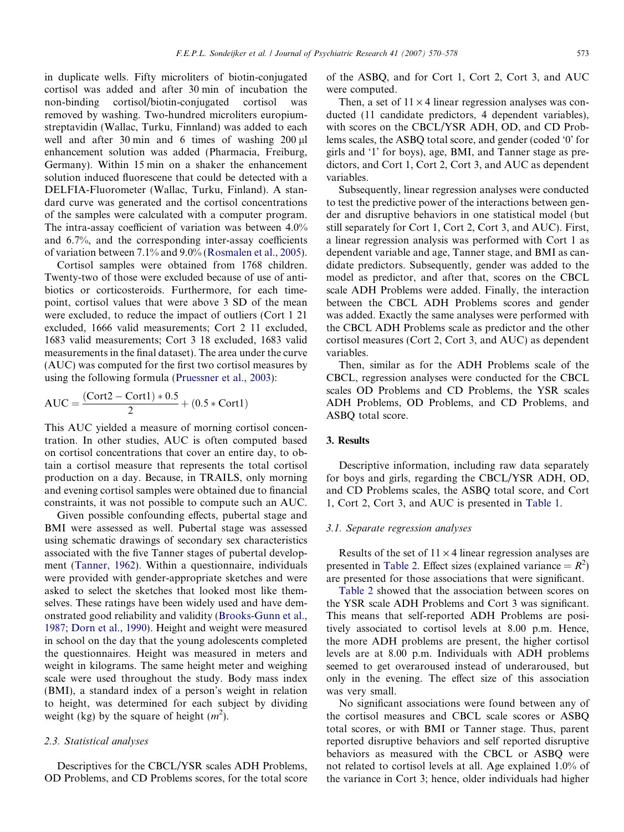in duplicate wells. Fifty microliters of biotin-conjugated cortisol was added and after 30 min of incubation the non-binding cortisol/biotin-conjugated cortisol was removed by washing. Two-hundred microliters europiumstreptavidin (Wallac, Turku, Finnland) was added to each well and after 30 min and 6 times of washing  $200 \mu$ enhancement solution was added (Pharmacia, Freiburg, Germany). Within 15 min on a shaker the enhancement solution induced fluorescene that could be detected with a DELFIA-Fluorometer (Wallac, Turku, Finland). A standard curve was generated and the cortisol concentrations of the samples were calculated with a computer program. The intra-assay coefficient of variation was between 4.0% and 6.7%, and the corresponding inter-assay coefficients of variation between 7.1% and 9.0% ([Rosmalen et al., 2005\)](#page-8-0).

Cortisol samples were obtained from 1768 children. Twenty-two of those were excluded because of use of antibiotics or corticosteroids. Furthermore, for each timepoint, cortisol values that were above 3 SD of the mean were excluded, to reduce the impact of outliers (Cort 1 21 excluded, 1666 valid measurements; Cort 2 11 excluded, 1683 valid measurements; Cort 3 18 excluded, 1683 valid measurements in the final dataset). The area under the curve (AUC) was computed for the first two cortisol measures by using the following formula ([Pruessner et al., 2003\)](#page-8-0):

$$
AUC = \frac{(Cort2 - Cort1) * 0.5}{2} + (0.5 * Cort1)
$$

This AUC yielded a measure of morning cortisol concentration. In other studies, AUC is often computed based on cortisol concentrations that cover an entire day, to obtain a cortisol measure that represents the total cortisol production on a day. Because, in TRAILS, only morning and evening cortisol samples were obtained due to financial constraints, it was not possible to compute such an AUC.

Given possible confounding effects, pubertal stage and BMI were assessed as well. Pubertal stage was assessed using schematic drawings of secondary sex characteristics associated with the five Tanner stages of pubertal development [\(Tanner, 1962](#page-8-0)). Within a questionnaire, individuals were provided with gender-appropriate sketches and were asked to select the sketches that looked most like themselves. These ratings have been widely used and have demonstrated good reliability and validity ([Brooks-Gunn et al.,](#page-7-0) [1987; Dorn et al., 1990](#page-7-0)). Height and weight were measured in school on the day that the young adolescents completed the questionnaires. Height was measured in meters and weight in kilograms. The same height meter and weighing scale were used throughout the study. Body mass index (BMI), a standard index of a person's weight in relation to height, was determined for each subject by dividing weight (kg) by the square of height  $(m^2)$ .

# 2.3. Statistical analyses

Descriptives for the CBCL/YSR scales ADH Problems, OD Problems, and CD Problems scores, for the total score of the ASBQ, and for Cort 1, Cort 2, Cort 3, and AUC were computed.

Then, a set of  $11 \times 4$  linear regression analyses was conducted (11 candidate predictors, 4 dependent variables), with scores on the CBCL/YSR ADH, OD, and CD Problems scales, the ASBQ total score, and gender (coded '0' for girls and '1' for boys), age, BMI, and Tanner stage as predictors, and Cort 1, Cort 2, Cort 3, and AUC as dependent variables.

Subsequently, linear regression analyses were conducted to test the predictive power of the interactions between gender and disruptive behaviors in one statistical model (but still separately for Cort 1, Cort 2, Cort 3, and AUC). First, a linear regression analysis was performed with Cort 1 as dependent variable and age, Tanner stage, and BMI as candidate predictors. Subsequently, gender was added to the model as predictor, and after that, scores on the CBCL scale ADH Problems were added. Finally, the interaction between the CBCL ADH Problems scores and gender was added. Exactly the same analyses were performed with the CBCL ADH Problems scale as predictor and the other cortisol measures (Cort 2, Cort 3, and AUC) as dependent variables.

Then, similar as for the ADH Problems scale of the CBCL, regression analyses were conducted for the CBCL scales OD Problems and CD Problems, the YSR scales ADH Problems, OD Problems, and CD Problems, and ASBQ total score.

# 3. Results

Descriptive information, including raw data separately for boys and girls, regarding the CBCL/YSR ADH, OD, and CD Problems scales, the ASBQ total score, and Cort 1, Cort 2, Cort 3, and AUC is presented in [Table 1.](#page-4-0)

#### 3.1. Separate regression analyses

Results of the set of  $11 \times 4$  linear regression analyses are presented in [Table 2](#page-4-0). Effect sizes (explained variance =  $R^2$ ) are presented for those associations that were significant.

[Table 2](#page-4-0) showed that the association between scores on the YSR scale ADH Problems and Cort 3 was significant. This means that self-reported ADH Problems are positively associated to cortisol levels at 8.00 p.m. Hence, the more ADH problems are present, the higher cortisol levels are at 8.00 p.m. Individuals with ADH problems seemed to get overaroused instead of underaroused, but only in the evening. The effect size of this association was very small.

No significant associations were found between any of the cortisol measures and CBCL scale scores or ASBQ total scores, or with BMI or Tanner stage. Thus, parent reported disruptive behaviors and self reported disruptive behaviors as measured with the CBCL or ASBQ were not related to cortisol levels at all. Age explained 1.0% of the variance in Cort 3; hence, older individuals had higher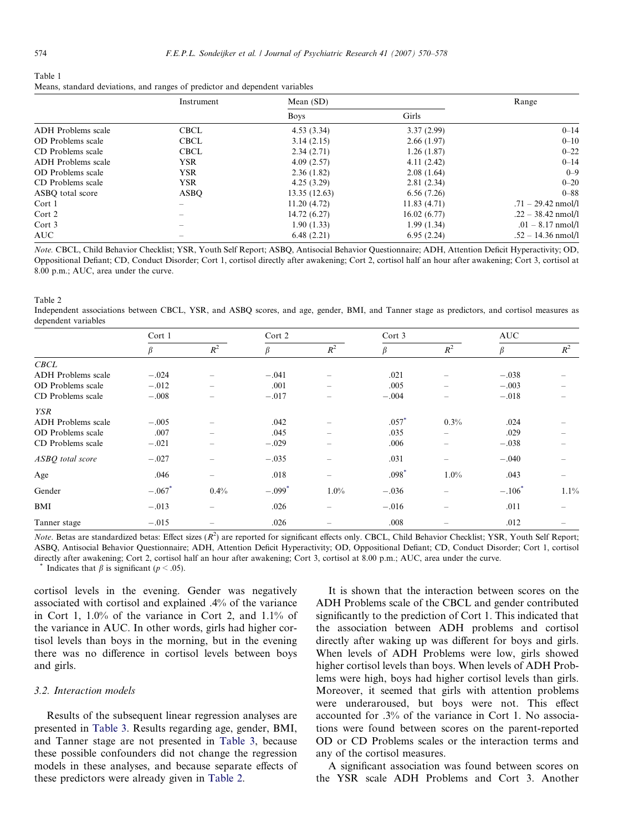<span id="page-4-0"></span>

| Table 1                                                                     |  |  |
|-----------------------------------------------------------------------------|--|--|
| Means, standard deviations, and ranges of predictor and dependent variables |  |  |

|                    | Instrument  | Mean $(SD)$  | Range       |                      |
|--------------------|-------------|--------------|-------------|----------------------|
|                    |             | <b>Boys</b>  | Girls       |                      |
| ADH Problems scale | <b>CBCL</b> | 4.53(3.34)   | 3.37(2.99)  | $0 - 14$             |
| OD Problems scale  | <b>CBCL</b> | 3.14(2.15)   | 2.66(1.97)  | $0 - 10$             |
| CD Problems scale  | <b>CBCL</b> | 2.34(2.71)   | 1.26(1.87)  | $0 - 22$             |
| ADH Problems scale | <b>YSR</b>  | 4.09(2.57)   | 4.11(2.42)  | $0 - 14$             |
| OD Problems scale  | <b>YSR</b>  | 2.36(1.82)   | 2.08(1.64)  | $0 - 9$              |
| CD Problems scale  | <b>YSR</b>  | 4.25(3.29)   | 2.81(2.34)  | $0 - 20$             |
| ASBQ total score   | <b>ASBO</b> | 13.35(12.63) | 6.56(7.26)  | $0 - 88$             |
| Cort 1             |             | 11.20(4.72)  | 11.83(4.71) | $.71 - 29.42$ nmol/l |
| Cort 2             |             | 14.72 (6.27) | 16.02(6.77) | $.22 - 38.42$ nmol/l |
| Cort 3             | -           | 1.90(1.33)   | 1.99(1.34)  | $.01 - 8.17$ nmol/l  |
| <b>AUC</b>         |             | 6.48(2.21)   | 6.95(2.24)  | $.52 - 14.36$ nmol/l |

Note. CBCL, Child Behavior Checklist; YSR, Youth Self Report; ASBQ, Antisocial Behavior Questionnaire; ADH, Attention Deficit Hyperactivity; OD, Oppositional Defiant; CD, Conduct Disorder; Cort 1, cortisol directly after awakening; Cort 2, cortisol half an hour after awakening; Cort 3, cortisol at 8.00 p.m.; AUC, area under the curve.

Table 2 Independent associations between CBCL, YSR, and ASBQ scores, and age, gender, BMI, and Tanner stage as predictors, and cortisol measures as dependent variables

|                           | Cort 1   |                          | Cort 2   |                          | Cort 3  |                          | <b>AUC</b> |       |
|---------------------------|----------|--------------------------|----------|--------------------------|---------|--------------------------|------------|-------|
|                           |          | $R^2$                    | β        | $R^2$                    | β       | $R^2$                    | β          | $R^2$ |
| CBCL                      |          |                          |          |                          |         |                          |            |       |
| <b>ADH</b> Problems scale | $-.024$  | $\overline{\phantom{0}}$ | $-.041$  |                          | .021    | $\overline{\phantom{0}}$ | $-.038$    |       |
| OD Problems scale         | $-.012$  | $\overline{\phantom{a}}$ | .001     | $\overline{\phantom{a}}$ | .005    |                          | $-.003$    |       |
| CD Problems scale         | $-.008$  | $\overline{\phantom{0}}$ | $-.017$  | -                        | $-.004$ | $\overline{\phantom{0}}$ | $-.018$    |       |
| <b>YSR</b>                |          |                          |          |                          |         |                          |            |       |
| <b>ADH</b> Problems scale | $-.005$  | $\overline{\phantom{0}}$ | .042     |                          | $.057*$ | 0.3%                     | .024       |       |
| OD Problems scale         | .007     |                          | .045     |                          | .035    | $\overline{\phantom{0}}$ | .029       |       |
| CD Problems scale         | $-.021$  |                          | $-.029$  |                          | .006    | $\overline{\phantom{0}}$ | $-.038$    |       |
| ASBQ total score          | $-.027$  |                          | $-.035$  |                          | .031    | $\overline{\phantom{0}}$ | $-.040$    |       |
| Age                       | .046     | $\overline{\phantom{0}}$ | .018     | $\overline{\phantom{a}}$ | $.098*$ | $1.0\%$                  | .043       |       |
| Gender                    | $-.067*$ | 0.4%                     | $-.099*$ | $1.0\%$                  | $-.036$ | $\overline{\phantom{a}}$ | $-.106*$   | 1.1%  |
| BMI                       | $-.013$  | $\overline{\phantom{0}}$ | .026     |                          | $-.016$ |                          | .011       |       |
| Tanner stage              | $-.015$  |                          | .026     |                          | .008    |                          | .012       |       |

*Note*. Betas are standardized betas: Effect sizes ( $R^2$ ) are reported for significant effects only. CBCL, Child Behavior Checklist; YSR, Youth Self Report; ASBQ, Antisocial Behavior Questionnaire; ADH, Attention Deficit Hyperactivity; OD, Oppositional Defiant; CD, Conduct Disorder; Cort 1, cortisol directly after awakening; Cort 2, cortisol half an hour after awakening; Cort 3, cortisol at 8.00 p.m.; AUC, area under the curve.

Indicates that  $\beta$  is significant ( $p < .05$ ).

cortisol levels in the evening. Gender was negatively associated with cortisol and explained .4% of the variance in Cort 1, 1.0% of the variance in Cort 2, and 1.1% of the variance in AUC. In other words, girls had higher cortisol levels than boys in the morning, but in the evening there was no difference in cortisol levels between boys and girls.

## 3.2. Interaction models

Results of the subsequent linear regression analyses are presented in [Table 3.](#page-5-0) Results regarding age, gender, BMI, and Tanner stage are not presented in [Table 3](#page-5-0), because these possible confounders did not change the regression models in these analyses, and because separate effects of these predictors were already given in Table 2.

It is shown that the interaction between scores on the ADH Problems scale of the CBCL and gender contributed significantly to the prediction of Cort 1. This indicated that the association between ADH problems and cortisol directly after waking up was different for boys and girls. When levels of ADH Problems were low, girls showed higher cortisol levels than boys. When levels of ADH Problems were high, boys had higher cortisol levels than girls. Moreover, it seemed that girls with attention problems were underaroused, but boys were not. This effect accounted for .3% of the variance in Cort 1. No associations were found between scores on the parent-reported OD or CD Problems scales or the interaction terms and any of the cortisol measures.

A significant association was found between scores on the YSR scale ADH Problems and Cort 3. Another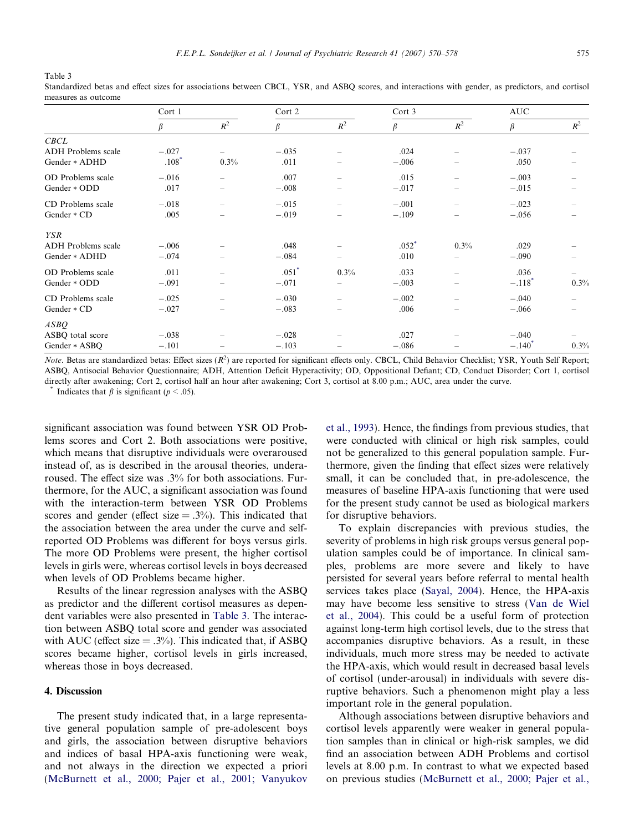Standardized betas and effect sizes for associations between CBCL, YSR, and ASBQ scores, and interactions with gender, as predictors, and cortisol measures as outcome

|                           | Cort 1  |                          | Cort 2  |                          | Cort 3  |                          | <b>AUC</b>           |       |
|---------------------------|---------|--------------------------|---------|--------------------------|---------|--------------------------|----------------------|-------|
|                           | β       | $R^2$                    | β       | $R^2$                    | β       | $R^2$                    | $\beta$              | $R^2$ |
| CBCL                      |         |                          |         |                          |         |                          |                      |       |
| <b>ADH</b> Problems scale | $-.027$ |                          | $-.035$ |                          | .024    |                          | $-.037$              |       |
| Gender * ADHD             | $.108*$ | $0.3\%$                  | .011    |                          | $-.006$ |                          | .050                 |       |
| OD Problems scale         | $-.016$ |                          | .007    |                          | .015    | $\overline{\phantom{0}}$ | $-.003$              |       |
| Gender * ODD              | .017    |                          | $-.008$ |                          | $-.017$ |                          | $-.015$              |       |
| CD Problems scale         | $-.018$ |                          | $-.015$ | $\overline{\phantom{a}}$ | $-.001$ | $\overline{\phantom{0}}$ | $-.023$              |       |
| Gender * CD               | .005    |                          | $-.019$ |                          | $-.109$ | -                        | $-.056$              |       |
| <b>YSR</b>                |         |                          |         |                          |         |                          |                      |       |
| <b>ADH</b> Problems scale | $-.006$ |                          | .048    |                          | $.052*$ | $0.3\%$                  | .029                 |       |
| Gender * ADHD             | $-.074$ |                          | $-.084$ |                          | .010    |                          | $-.090$              |       |
| OD Problems scale         | .011    |                          | $.051*$ | $0.3\%$                  | .033    |                          | .036                 |       |
| Gender * ODD              | $-.091$ |                          | $-.071$ |                          | $-.003$ |                          | $-.118$ <sup>*</sup> | 0.3%  |
| CD Problems scale         | $-.025$ | $\overline{\phantom{a}}$ | $-.030$ | $\equiv$                 | $-.002$ | $\overline{\phantom{a}}$ | $-.040$              |       |
| Gender * CD               | $-.027$ |                          | $-.083$ |                          | .006    |                          | $-.066$              |       |
| ASBO                      |         |                          |         |                          |         |                          |                      |       |
| ASBQ total score          | $-.038$ |                          | $-.028$ |                          | .027    |                          | $-.040$              |       |
| Gender * ASBQ             | $-.101$ |                          | $-.103$ |                          | $-.086$ |                          | $-.140^*$            | 0.3%  |

Note. Betas are standardized betas: Effect sizes  $(R^2)$  are reported for significant effects only. CBCL, Child Behavior Checklist; YSR, Youth Self Report; ASBQ, Antisocial Behavior Questionnaire; ADH, Attention Deficit Hyperactivity; OD, Oppositional Defiant; CD, Conduct Disorder; Cort 1, cortisol directly after awakening; Cort 2, cortisol half an hour after awakening; Cort 3, cortisol at 8.00 p.m.; AUC, area under the curve.

Indicates that  $\beta$  is significant ( $p < .05$ ).

<span id="page-5-0"></span>Table 3

significant association was found between YSR OD Problems scores and Cort 2. Both associations were positive, which means that disruptive individuals were overaroused instead of, as is described in the arousal theories, underaroused. The effect size was .3% for both associations. Furthermore, for the AUC, a significant association was found with the interaction-term between YSR OD Problems scores and gender (effect size  $= .3\%$ ). This indicated that the association between the area under the curve and selfreported OD Problems was different for boys versus girls. The more OD Problems were present, the higher cortisol levels in girls were, whereas cortisol levels in boys decreased when levels of OD Problems became higher.

Results of the linear regression analyses with the ASBQ as predictor and the different cortisol measures as dependent variables were also presented in Table 3. The interaction between ASBQ total score and gender was associated with AUC (effect size  $= .3\%$ ). This indicated that, if ASBQ scores became higher, cortisol levels in girls increased, whereas those in boys decreased.

# 4. Discussion

The present study indicated that, in a large representative general population sample of pre-adolescent boys and girls, the association between disruptive behaviors and indices of basal HPA-axis functioning were weak, and not always in the direction we expected a priori ([McBurnett et al., 2000; Pajer et al., 2001; Vanyukov](#page-7-0) [et al., 1993](#page-7-0)). Hence, the findings from previous studies, that were conducted with clinical or high risk samples, could not be generalized to this general population sample. Furthermore, given the finding that effect sizes were relatively small, it can be concluded that, in pre-adolescence, the measures of baseline HPA-axis functioning that were used for the present study cannot be used as biological markers for disruptive behaviors.

To explain discrepancies with previous studies, the severity of problems in high risk groups versus general population samples could be of importance. In clinical samples, problems are more severe and likely to have persisted for several years before referral to mental health services takes place [\(Sayal, 2004\)](#page-8-0). Hence, the HPA-axis may have become less sensitive to stress ([Van de Wiel](#page-8-0) [et al., 2004\)](#page-8-0). This could be a useful form of protection against long-term high cortisol levels, due to the stress that accompanies disruptive behaviors. As a result, in these individuals, much more stress may be needed to activate the HPA-axis, which would result in decreased basal levels of cortisol (under-arousal) in individuals with severe disruptive behaviors. Such a phenomenon might play a less important role in the general population.

Although associations between disruptive behaviors and cortisol levels apparently were weaker in general population samples than in clinical or high-risk samples, we did find an association between ADH Problems and cortisol levels at 8.00 p.m. In contrast to what we expected based on previous studies [\(McBurnett et al., 2000; Pajer et al.,](#page-7-0)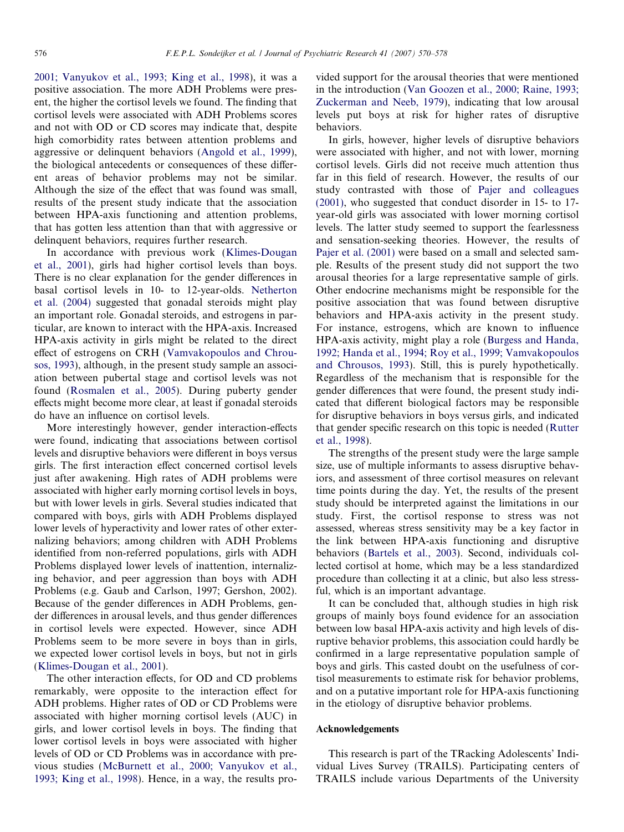[2001; Vanyukov et al., 1993; King et al., 1998](#page-7-0)), it was a positive association. The more ADH Problems were present, the higher the cortisol levels we found. The finding that cortisol levels were associated with ADH Problems scores and not with OD or CD scores may indicate that, despite high comorbidity rates between attention problems and aggressive or delinquent behaviors ([Angold et al., 1999\)](#page-7-0), the biological antecedents or consequences of these different areas of behavior problems may not be similar. Although the size of the effect that was found was small, results of the present study indicate that the association between HPA-axis functioning and attention problems, that has gotten less attention than that with aggressive or delinquent behaviors, requires further research.

In accordance with previous work ([Klimes-Dougan](#page-7-0) [et al., 2001\)](#page-7-0), girls had higher cortisol levels than boys. There is no clear explanation for the gender differences in basal cortisol levels in 10- to 12-year-olds. [Netherton](#page-7-0) [et al. \(2004\)](#page-7-0) suggested that gonadal steroids might play an important role. Gonadal steroids, and estrogens in particular, are known to interact with the HPA-axis. Increased HPA-axis activity in girls might be related to the direct effect of estrogens on CRH [\(Vamvakopoulos and Chrou](#page-8-0)[sos, 1993](#page-8-0)), although, in the present study sample an association between pubertal stage and cortisol levels was not found [\(Rosmalen et al., 2005](#page-8-0)). During puberty gender effects might become more clear, at least if gonadal steroids do have an influence on cortisol levels.

More interestingly however, gender interaction-effects were found, indicating that associations between cortisol levels and disruptive behaviors were different in boys versus girls. The first interaction effect concerned cortisol levels just after awakening. High rates of ADH problems were associated with higher early morning cortisol levels in boys, but with lower levels in girls. Several studies indicated that compared with boys, girls with ADH Problems displayed lower levels of hyperactivity and lower rates of other externalizing behaviors; among children with ADH Problems identified from non-referred populations, girls with ADH Problems displayed lower levels of inattention, internalizing behavior, and peer aggression than boys with ADH Problems (e.g. Gaub and Carlson, 1997; Gershon, 2002). Because of the gender differences in ADH Problems, gender differences in arousal levels, and thus gender differences in cortisol levels were expected. However, since ADH Problems seem to be more severe in boys than in girls, we expected lower cortisol levels in boys, but not in girls [\(Klimes-Dougan et al., 2001\)](#page-7-0).

The other interaction effects, for OD and CD problems remarkably, were opposite to the interaction effect for ADH problems. Higher rates of OD or CD Problems were associated with higher morning cortisol levels (AUC) in girls, and lower cortisol levels in boys. The finding that lower cortisol levels in boys were associated with higher levels of OD or CD Problems was in accordance with previous studies ([McBurnett et al., 2000; Vanyukov et al.,](#page-7-0) [1993; King et al., 1998\)](#page-7-0). Hence, in a way, the results provided support for the arousal theories that were mentioned in the introduction ([Van Goozen et al., 2000; Raine, 1993;](#page-8-0) [Zuckerman and Neeb, 1979](#page-8-0)), indicating that low arousal levels put boys at risk for higher rates of disruptive behaviors.

In girls, however, higher levels of disruptive behaviors were associated with higher, and not with lower, morning cortisol levels. Girls did not receive much attention thus far in this field of research. However, the results of our study contrasted with those of [Pajer and colleagues](#page-7-0) [\(2001\)](#page-7-0), who suggested that conduct disorder in 15- to 17 year-old girls was associated with lower morning cortisol levels. The latter study seemed to support the fearlessness and sensation-seeking theories. However, the results of [Pajer et al. \(2001\)](#page-7-0) were based on a small and selected sample. Results of the present study did not support the two arousal theories for a large representative sample of girls. Other endocrine mechanisms might be responsible for the positive association that was found between disruptive behaviors and HPA-axis activity in the present study. For instance, estrogens, which are known to influence HPA-axis activity, might play a role [\(Burgess and Handa,](#page-7-0) [1992; Handa et al., 1994; Roy et al., 1999; Vamvakopoulos](#page-7-0) [and Chrousos, 1993\)](#page-7-0). Still, this is purely hypothetically. Regardless of the mechanism that is responsible for the gender differences that were found, the present study indicated that different biological factors may be responsible for disruptive behaviors in boys versus girls, and indicated that gender specific research on this topic is needed ([Rutter](#page-8-0) [et al., 1998](#page-8-0)).

The strengths of the present study were the large sample size, use of multiple informants to assess disruptive behaviors, and assessment of three cortisol measures on relevant time points during the day. Yet, the results of the present study should be interpreted against the limitations in our study. First, the cortisol response to stress was not assessed, whereas stress sensitivity may be a key factor in the link between HPA-axis functioning and disruptive behaviors [\(Bartels et al., 2003](#page-7-0)). Second, individuals collected cortisol at home, which may be a less standardized procedure than collecting it at a clinic, but also less stressful, which is an important advantage.

It can be concluded that, although studies in high risk groups of mainly boys found evidence for an association between low basal HPA-axis activity and high levels of disruptive behavior problems, this association could hardly be confirmed in a large representative population sample of boys and girls. This casted doubt on the usefulness of cortisol measurements to estimate risk for behavior problems, and on a putative important role for HPA-axis functioning in the etiology of disruptive behavior problems.

#### Acknowledgements

This research is part of the TRacking Adolescents' Individual Lives Survey (TRAILS). Participating centers of TRAILS include various Departments of the University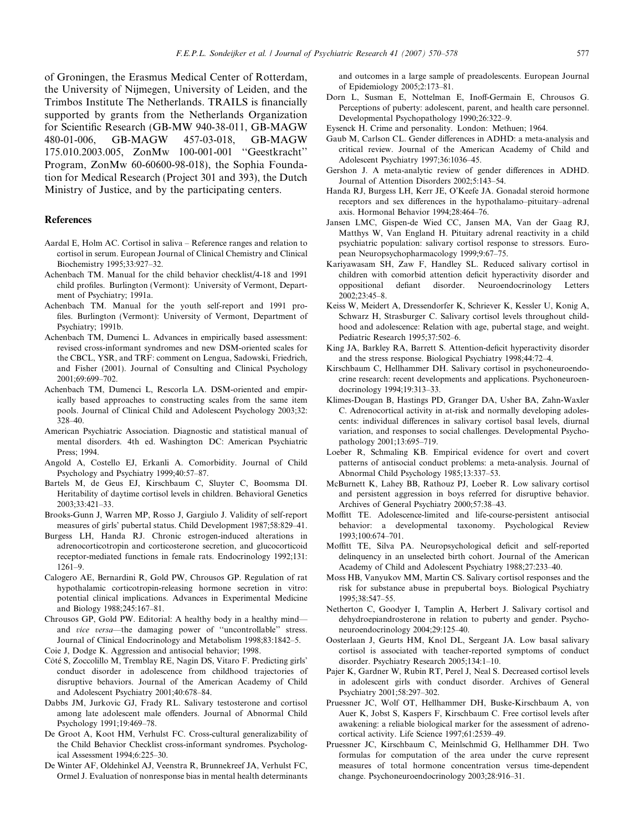<span id="page-7-0"></span>of Groningen, the Erasmus Medical Center of Rotterdam, the University of Nijmegen, University of Leiden, and the Trimbos Institute The Netherlands. TRAILS is financially supported by grants from the Netherlands Organization for Scientific Research (GB-MW 940-38-011, GB-MAGW 480-01-006, GB-MAGW 457-03-018, GB-MAGW 175.010.2003.005, ZonMw 100-001-001 ''Geestkracht'' Program, ZonMw 60-60600-98-018), the Sophia Foundation for Medical Research (Project 301 and 393), the Dutch Ministry of Justice, and by the participating centers.

## References

- Aardal E, Holm AC. Cortisol in saliva Reference ranges and relation to cortisol in serum. European Journal of Clinical Chemistry and Clinical Biochemistry 1995;33:927–32.
- Achenbach TM. Manual for the child behavior checklist/4-18 and 1991 child profiles. Burlington (Vermont): University of Vermont, Department of Psychiatry; 1991a.
- Achenbach TM. Manual for the youth self-report and 1991 profiles. Burlington (Vermont): University of Vermont, Department of Psychiatry; 1991b.
- Achenbach TM, Dumenci L. Advances in empirically based assessment: revised cross-informant syndromes and new DSM-oriented scales for the CBCL, YSR, and TRF: comment on Lengua, Sadowski, Friedrich, and Fisher (2001). Journal of Consulting and Clinical Psychology 2001;69:699–702.
- Achenbach TM, Dumenci L, Rescorla LA. DSM-oriented and empirically based approaches to constructing scales from the same item pools. Journal of Clinical Child and Adolescent Psychology 2003;32: 328–40.
- American Psychiatric Association. Diagnostic and statistical manual of mental disorders. 4th ed. Washington DC: American Psychiatric Press; 1994.
- Angold A, Costello EJ, Erkanli A. Comorbidity. Journal of Child Psychology and Psychiatry 1999;40:57–87.
- Bartels M, de Geus EJ, Kirschbaum C, Sluyter C, Boomsma DI. Heritability of daytime cortisol levels in children. Behavioral Genetics 2003;33:421–33.
- Brooks-Gunn J, Warren MP, Rosso J, Gargiulo J. Validity of self-report measures of girls' pubertal status. Child Development 1987;58:829–41.
- Burgess LH, Handa RJ. Chronic estrogen-induced alterations in adrenocorticotropin and corticosterone secretion, and glucocorticoid receptor-mediated functions in female rats. Endocrinology 1992;131: 1261–9.
- Calogero AE, Bernardini R, Gold PW, Chrousos GP. Regulation of rat hypothalamic corticotropin-releasing hormone secretion in vitro: potential clinical implications. Advances in Experimental Medicine and Biology 1988;245:167–81.
- Chrousos GP, Gold PW. Editorial: A healthy body in a healthy mind and vice versa—the damaging power of ''uncontrollable'' stress. Journal of Clinical Endocrinology and Metabolism 1998;83:1842–5.
- Coie J, Dodge K. Aggression and antisocial behavior; 1998.
- Côté S, Zoccolillo M, Tremblay RE, Nagin DS, Vitaro F. Predicting girls' conduct disorder in adolescence from childhood trajectories of disruptive behaviors. Journal of the American Academy of Child and Adolescent Psychiatry 2001;40:678–84.
- Dabbs JM, Jurkovic GJ, Frady RL. Salivary testosterone and cortisol among late adolescent male offenders. Journal of Abnormal Child Psychology 1991;19:469–78.
- De Groot A, Koot HM, Verhulst FC. Cross-cultural generalizability of the Child Behavior Checklist cross-informant syndromes. Psychological Assessment 1994;6:225–30.
- De Winter AF, Oldehinkel AJ, Veenstra R, Brunnekreef JA, Verhulst FC, Ormel J. Evaluation of nonresponse bias in mental health determinants

and outcomes in a large sample of preadolescents. European Journal of Epidemiology 2005;2:173–81.

- Dorn L, Susman E, Nottelman E, Inoff-Germain E, Chrousos G. Perceptions of puberty: adolescent, parent, and health care personnel. Developmental Psychopathology 1990;26:322–9.
- Eysenck H. Crime and personality. London: Methuen; 1964.
- Gaub M, Carlson CL. Gender differences in ADHD: a meta-analysis and critical review. Journal of the American Academy of Child and Adolescent Psychiatry 1997;36:1036–45.
- Gershon J. A meta-analytic review of gender differences in ADHD. Journal of Attention Disorders 2002;5:143–54.
- Handa RJ, Burgess LH, Kerr JE, O'Keefe JA. Gonadal steroid hormone receptors and sex differences in the hypothalamo–pituitary–adrenal axis. Hormonal Behavior 1994;28:464–76.
- Jansen LMC, Gispen-de Wied CC, Jansen MA, Van der Gaag RJ, Matthys W, Van England H. Pituitary adrenal reactivity in a child psychiatric population: salivary cortisol response to stressors. European Neuropsychopharmacology 1999;9:67–75.
- Kariyawasam SH, Zaw F, Handley SL. Reduced salivary cortisol in children with comorbid attention deficit hyperactivity disorder and oppositional defiant disorder. Neuroendocrinology Letters 2002;23:45–8.
- Keiss W, Meidert A, Dressendorfer K, Schriever K, Kessler U, Konig A, Schwarz H, Strasburger C. Salivary cortisol levels throughout childhood and adolescence: Relation with age, pubertal stage, and weight. Pediatric Research 1995;37:502–6.
- King JA, Barkley RA, Barrett S. Attention-deficit hyperactivity disorder and the stress response. Biological Psychiatry 1998;44:72–4.
- Kirschbaum C, Hellhammer DH. Salivary cortisol in psychoneuroendocrine research: recent developments and applications. Psychoneuroendocrinology 1994;19:313–33.
- Klimes-Dougan B, Hastings PD, Granger DA, Usher BA, Zahn-Waxler C. Adrenocortical activity in at-risk and normally developing adolescents: individual differences in salivary cortisol basal levels, diurnal variation, and responses to social challenges. Developmental Psychopathology 2001;13:695–719.
- Loeber R, Schmaling KB. Empirical evidence for overt and covert patterns of antisocial conduct problems: a meta-analysis. Journal of Abnormal Child Psychology 1985;13:337–53.
- McBurnett K, Lahey BB, Rathouz PJ, Loeber R. Low salivary cortisol and persistent aggression in boys referred for disruptive behavior. Archives of General Psychiatry 2000;57:38–43.
- Moffitt TE. Adolescence-limited and life-course-persistent antisocial behavior: a developmental taxonomy. Psychological Review 1993;100:674–701.
- Moffitt TE, Silva PA. Neuropsychological deficit and self-reported delinquency in an unselected birth cohort. Journal of the American Academy of Child and Adolescent Psychiatry 1988;27:233–40.
- Moss HB, Vanyukov MM, Martin CS. Salivary cortisol responses and the risk for substance abuse in prepubertal boys. Biological Psychiatry 1995;38:547–55.
- Netherton C, Goodyer I, Tamplin A, Herbert J. Salivary cortisol and dehydroepiandrosterone in relation to puberty and gender. Psychoneuroendocrinology 2004;29:125–40.
- Oosterlaan J, Geurts HM, Knol DL, Sergeant JA. Low basal salivary cortisol is associated with teacher-reported symptoms of conduct disorder. Psychiatry Research 2005;134:1–10.
- Pajer K, Gardner W, Rubin RT, Perel J, Neal S. Decreased cortisol levels in adolescent girls with conduct disorder. Archives of General Psychiatry 2001;58:297–302.
- Pruessner JC, Wolf OT, Hellhammer DH, Buske-Kirschbaum A, von Auer K, Jobst S, Kaspers F, Kirschbaum C. Free cortisol levels after awakening: a reliable biological marker for the assessment of adrenocortical activity. Life Science 1997;61:2539–49.
- Pruessner JC, Kirschbaum C, Meinlschmid G, Hellhammer DH. Two formulas for computation of the area under the curve represent measures of total hormone concentration versus time-dependent change. Psychoneuroendocrinology 2003;28:916–31.